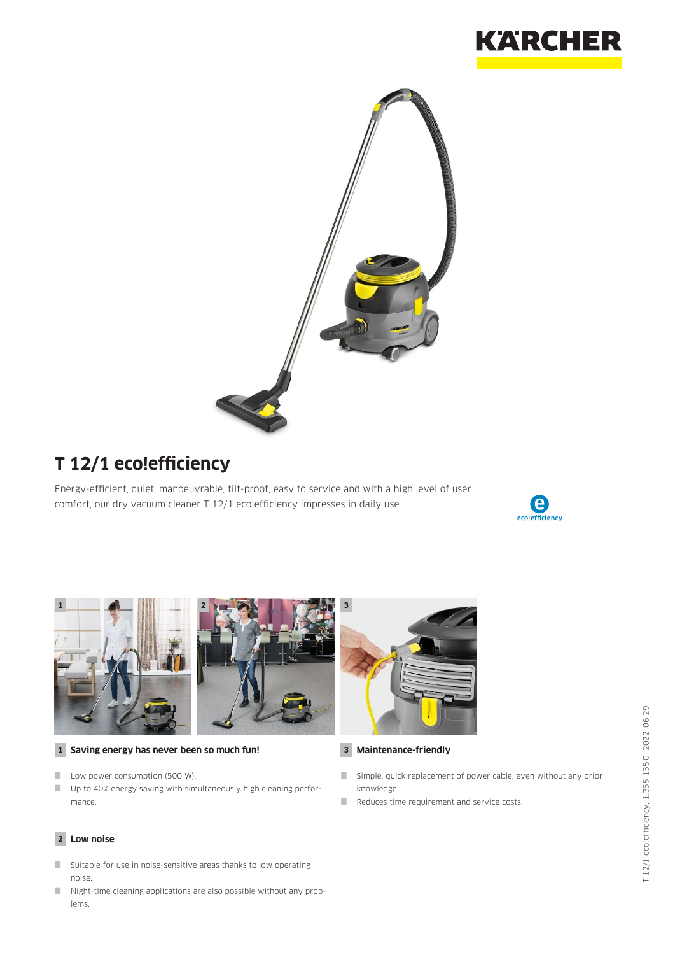



# **T 12/1 eco!efficiency**

Energy-efficient, quiet, manoeuvrable, tilt-proof, easy to service and with a high level of user comfort, our dry vacuum cleaner T 12/1 eco!efficiency impresses in daily use.







#### **1 Saving energy has never been so much fun! 3**

- Low power consumption (500 W).
- Up to 40% energy saving with simultaneously high cleaning performance.

#### **2 Low noise**

- Suitable for use in noise-sensitive areas thanks to low operating noise.
- $\blacksquare$  Night-time cleaning applications are also possible without any problems.



#### **Maintenance-friendly**

- Simple, quick replacement of power cable, even without any prior knowledge.
- Reduces time requirement and service costs.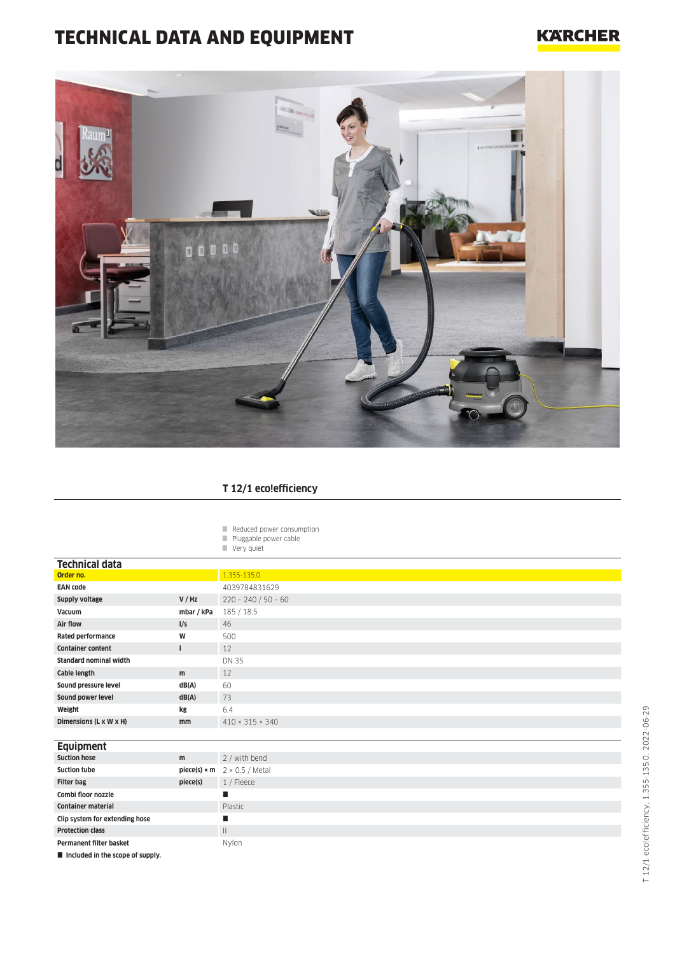# TECHNICAL DATA AND EQUIPMENT

#### **KARCHER**



#### **T 12/1 eco!efficiency**

|  | Reduced power consumption |
|--|---------------------------|
|  |                           |

- **Pluggable power cable**
- Very quiet

**Protection class** III Permanent filter basket Nylon

 $\blacksquare$  Included in the scope of supply.

| <b>Technical data</b>          |                     |                             |
|--------------------------------|---------------------|-----------------------------|
| Order no.                      |                     | 1.355-135.0                 |
| <b>EAN code</b>                |                     | 4039784831629               |
| Supply voltage                 | V / Hz              | $220 - 240 / 50 - 60$       |
| Vacuum                         | mbar / kPa          | 185/18.5                    |
| Air flow                       | I/S                 | 46                          |
| Rated performance              | W                   | 500                         |
| <b>Container content</b><br>ı  |                     | 12                          |
| <b>Standard nominal width</b>  |                     | DN 35                       |
| Cable length                   | m                   | 12                          |
| Sound pressure level           | dB(A)               | 60                          |
| Sound power level              | dB(A)               | 73                          |
| Weight                         | kg                  | 6.4                         |
| Dimensions (L x W x H)         | mm                  | $410 \times 315 \times 340$ |
|                                |                     |                             |
| <b>Equipment</b>               |                     |                             |
| <b>Suction hose</b>            | m                   | 2 / with bend               |
| <b>Suction tube</b>            | $piece(s) \times m$ | $2 \times 0.5$ / Metal      |
| <b>Filter bag</b>              | piece(s)            | 1 / Fleece                  |
| Combi floor nozzle             |                     | п                           |
| <b>Container material</b>      |                     | Plastic                     |
| Clip system for extending hose |                     | п                           |

T 12/1 eco!efficiency, 1.355-135.0, 2022-06-29

T 12/1 ecolefficiency, 1.355-135.0, 2022-06-29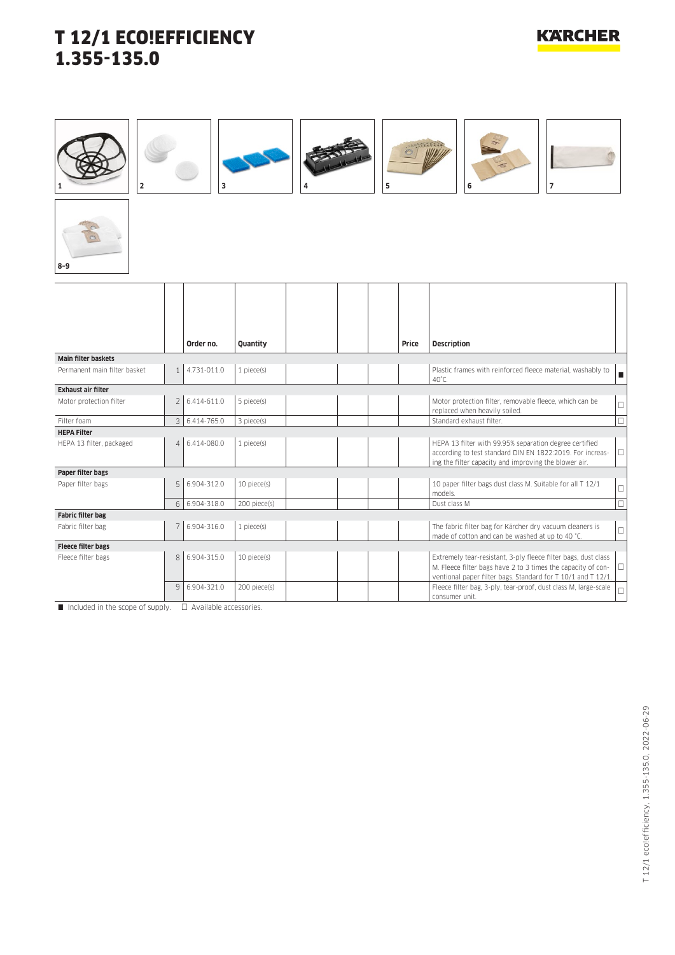### **KARCHER**



 $\Box$  Included in the scope of supply.  $\Box$  Available accessories.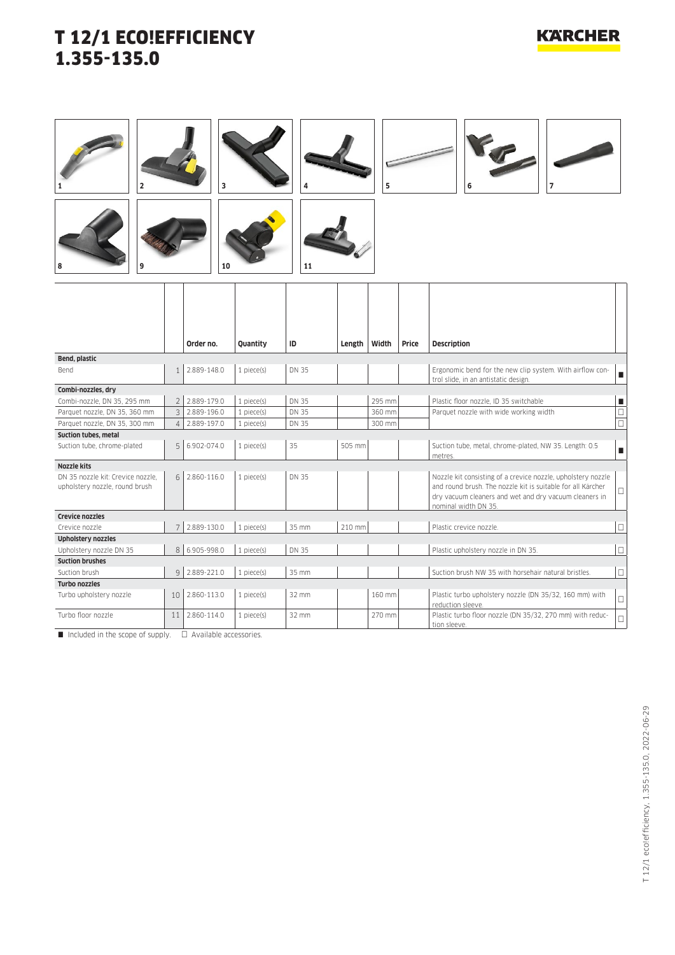#### **KARCHER**













|                                                                     |                | Order no.   | <b>Ouantity</b> | ID           | Length | Width  | Price | <b>Description</b>                                                                                                                                                                                            |        |
|---------------------------------------------------------------------|----------------|-------------|-----------------|--------------|--------|--------|-------|---------------------------------------------------------------------------------------------------------------------------------------------------------------------------------------------------------------|--------|
| Bend, plastic                                                       |                |             |                 |              |        |        |       |                                                                                                                                                                                                               |        |
| <b>Bend</b>                                                         |                | 2.889-148.0 | 1 piece(s)      | DN 35        |        |        |       | Ergonomic bend for the new clip system. With airflow con-<br>trol slide, in an antistatic design.                                                                                                             |        |
| Combi-nozzles, dry                                                  |                |             |                 |              |        |        |       |                                                                                                                                                                                                               |        |
| Combi-nozzle, DN 35, 295 mm                                         | $\overline{2}$ | 2.889-179.0 | 1 piece(s)      | <b>DN 35</b> |        | 295 mm |       | Plastic floor nozzle. ID 35 switchable                                                                                                                                                                        | п      |
| Parquet nozzle, DN 35, 360 mm                                       | 3              | 2.889-196.0 | 1 piece(s)      | DN 35        |        | 360 mm |       | Parquet nozzle with wide working width                                                                                                                                                                        | $\Box$ |
| Parquet nozzle, DN 35, 300 mm                                       | 4              | 2.889-197.0 | 1 piece(s)      | <b>DN 35</b> |        | 300 mm |       |                                                                                                                                                                                                               | $\Box$ |
| <b>Suction tubes, metal</b>                                         |                |             |                 |              |        |        |       |                                                                                                                                                                                                               |        |
| Suction tube, chrome-plated                                         | 5              | 6.902-074.0 | $1$ piece $(s)$ | 35           | 505 mm |        |       | Suction tube, metal, chrome-plated, NW 35. Length: 0.5<br>metres.                                                                                                                                             | п      |
| <b>Nozzle kits</b>                                                  |                |             |                 |              |        |        |       |                                                                                                                                                                                                               |        |
| DN 35 nozzle kit: Crevice nozzle.<br>upholstery nozzle, round brush | 6              | 2.860-116.0 | 1 piece(s)      | DN 35        |        |        |       | Nozzle kit consisting of a crevice nozzle, upholstery nozzle<br>and round brush. The nozzle kit is suitable for all Kärcher<br>dry vacuum cleaners and wet and dry vacuum cleaners in<br>nominal width DN 35. | □      |
| <b>Crevice nozzles</b>                                              |                |             |                 |              |        |        |       |                                                                                                                                                                                                               |        |
| Crevice nozzle                                                      |                | 2.889-130.0 | 1 piece(s)      | 35 mm        | 210 mm |        |       | Plastic crevice nozzle.                                                                                                                                                                                       |        |
| <b>Upholstery nozzles</b>                                           |                |             |                 |              |        |        |       |                                                                                                                                                                                                               |        |
| Upholstery nozzle DN 35                                             | 8 <sup>1</sup> | 6.905-998.0 | 1 piece(s)      | DN 35        |        |        |       | Plastic upholstery nozzle in DN 35.                                                                                                                                                                           | □      |
| <b>Suction brushes</b>                                              |                |             |                 |              |        |        |       |                                                                                                                                                                                                               |        |
| Suction brush                                                       | 9              | 2.889-221.0 | 1 piece(s)      | 35 mm        |        |        |       | Suction brush NW 35 with horsehair natural bristles.                                                                                                                                                          | □      |
| <b>Turbo nozzles</b>                                                |                |             |                 |              |        |        |       |                                                                                                                                                                                                               |        |
| Turbo upholstery nozzle                                             | 10             | 2.860-113.0 | 1 piece(s)      | 32 mm        |        | 160 mm |       | Plastic turbo upholstery nozzle (DN 35/32, 160 mm) with<br>reduction sleeve.                                                                                                                                  | $\Box$ |
| Turbo floor nozzle                                                  | 11             | 2.860-114.0 | 1 piece(s)      | 32 mm        |        | 270 mm |       | Plastic turbo floor nozzle (DN 35/32, 270 mm) with reduc-<br>tion sleeve.                                                                                                                                     | $\Box$ |

 $\Box$  Included in the scope of supply.  $\Box$  Available accessories.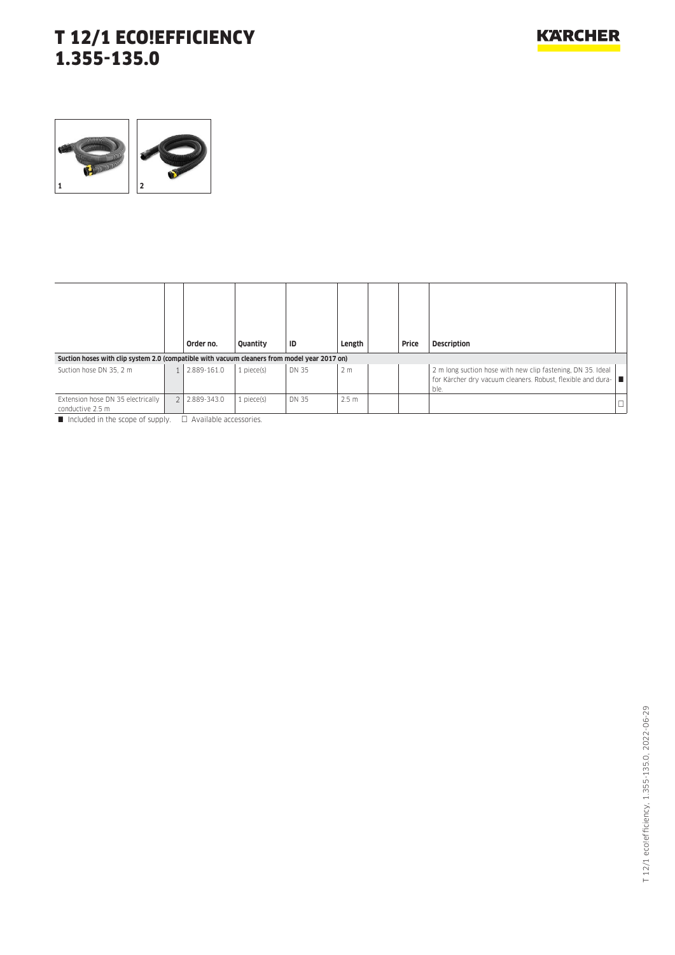

|                                                                                              | Order no.   | <b>Ouantity</b> | ID    | Length           | Price | <b>Description</b>                                                                                                                    |
|----------------------------------------------------------------------------------------------|-------------|-----------------|-------|------------------|-------|---------------------------------------------------------------------------------------------------------------------------------------|
| Suction hoses with clip system 2.0 (compatible with vacuum cleaners from model year 2017 on) |             |                 |       |                  |       |                                                                                                                                       |
| Suction hose DN 35, 2 m                                                                      | 2.889-161.0 | 1 piece(s)      | DN 35 | 2 <sub>m</sub>   |       | 2 m long suction hose with new clip fastening. DN 35. Ideal<br>for Kärcher dry vacuum cleaners. Robust, flexible and dura-  ■<br>ble. |
| Extension hose DN 35 electrically<br>conductive 2.5 m                                        | 2.889-343.0 | $1$ piece $(s)$ | DN 35 | 2.5 <sub>m</sub> |       | $\Box$                                                                                                                                |

 $\blacksquare$  Included in the scope of supply.  $\Box$  Available accessories.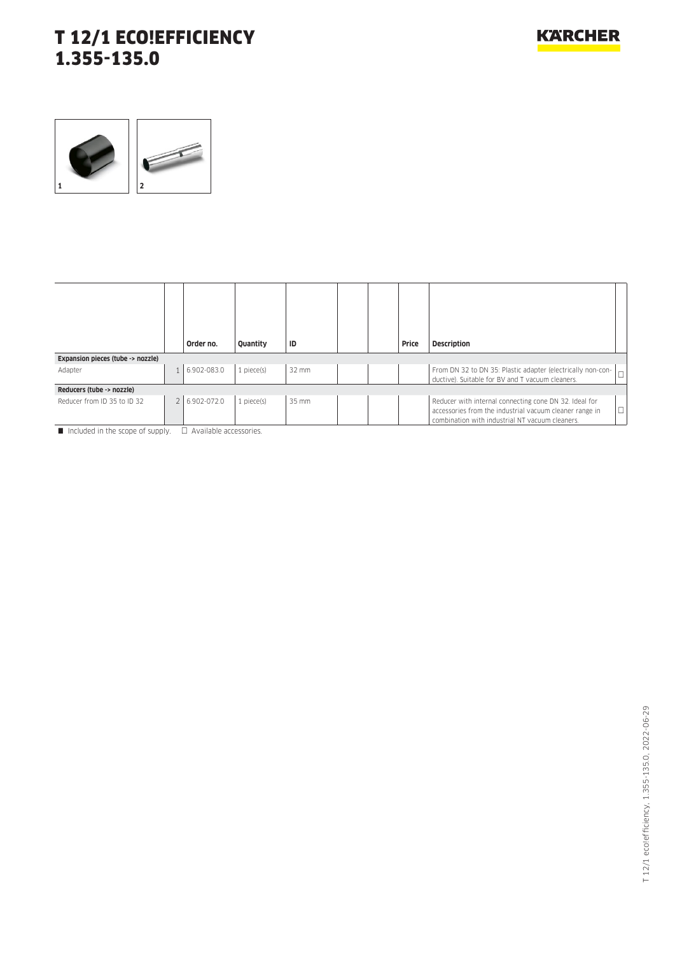

|                                   | Order no.     | Quantity   | ID    |  | Price | <b>Description</b>                                                                                                                                                             |
|-----------------------------------|---------------|------------|-------|--|-------|--------------------------------------------------------------------------------------------------------------------------------------------------------------------------------|
| Expansion pieces (tube -> nozzle) |               |            |       |  |       |                                                                                                                                                                                |
| Adapter                           | 6.902-083.0   | 1 piece(s) | 32 mm |  |       | From DN 32 to DN 35: Plastic adapter (electrically non-con-<br>$\Box$<br>ductive). Suitable for BV and T vacuum cleaners.                                                      |
| Reducers (tube -> nozzle)         |               |            |       |  |       |                                                                                                                                                                                |
| Reducer from ID 35 to ID 32       | 2 6.902-072.0 | 1 piece(s) | 35 mm |  |       | Reducer with internal connecting cone DN 32. Ideal for<br>$\Box$<br>accessories from the industrial vacuum cleaner range in<br>combination with industrial NT vacuum cleaners. |

 $\Box$  Included in the scope of supply.  $\Box$  Available accessories.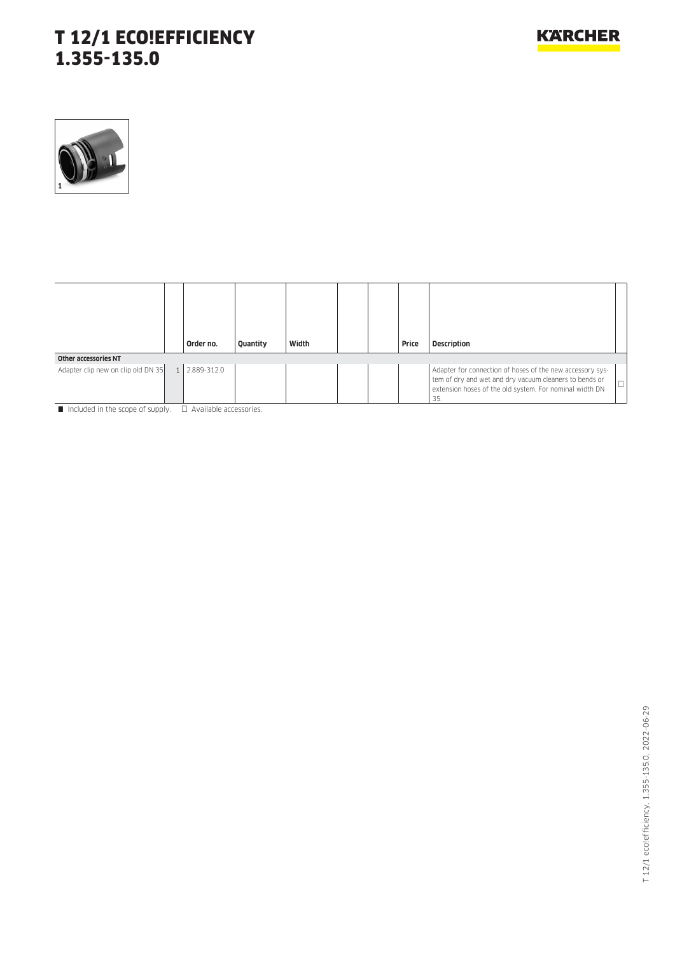

|                                    | Order no.   | Quantity | Width |  | Price | <b>Description</b>                                                                                                                                                                    |        |
|------------------------------------|-------------|----------|-------|--|-------|---------------------------------------------------------------------------------------------------------------------------------------------------------------------------------------|--------|
| <b>Other accessories NT</b>        |             |          |       |  |       |                                                                                                                                                                                       |        |
| Adapter clip new on clip old DN 35 | 2.889-312.0 |          |       |  |       | Adapter for connection of hoses of the new accessory sys-<br>tem of dry and wet and dry vacuum cleaners to bends or<br>extension hoses of the old system. For nominal width DN<br>35. | $\Box$ |

Included in the scope of supply.  $\Box$  Available accessories.